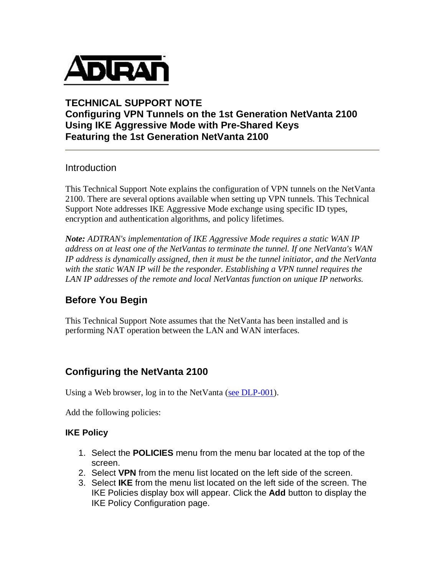

#### **TECHNICAL SUPPORT NOTE Configuring VPN Tunnels on the 1st Generation NetVanta 2100 Using IKE Aggressive Mode with Pre-Shared Keys Featuring the 1st Generation NetVanta 2100**

#### Introduction

This Technical Support Note explains the configuration of VPN tunnels on the NetVanta 2100. There are several options available when setting up VPN tunnels. This Technical Support Note addresses IKE Aggressive Mode exchange using specific ID types, encryption and authentication algorithms, and policy lifetimes.

*Note: ADTRAN's implementation of IKE Aggressive Mode requires a static WAN IP address on at least one of the NetVantas to terminate the tunnel. If one NetVanta's WAN IP address is dynamically assigned, then it must be the tunnel initiator, and the NetVanta with the static WAN IP will be the responder. Establishing a VPN tunnel requires the LAN IP addresses of the remote and local NetVantas function on unique IP networks.*

## **Before You Begin**

This Technical Support Note assumes that the NetVanta has been installed and is performing NAT operation between the LAN and WAN interfaces.

## **Configuring the NetVanta 2100**

Using a Web browser, log in to the NetVanta (see DLP-001).

Add the following policies:

#### **IKE Policy**

- 1. Select the **POLICIES** menu from the menu bar located at the top of the screen.
- 2. Select **VPN** from the menu list located on the left side of the screen.
- 3. Select **IKE** from the menu list located on the left side of the screen. The IKE Policies display box will appear. Click the **Add** button to display the IKE Policy Configuration page.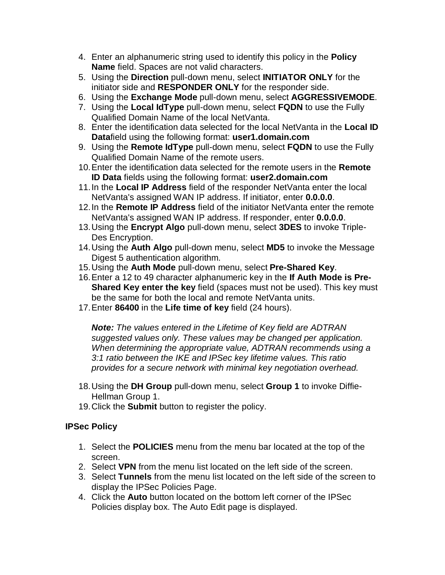- 4. Enter an alphanumeric string used to identify this policy in the **Policy Name** field. Spaces are not valid characters.
- 5. Using the **Direction** pull-down menu, select **INITIATOR ONLY** for the initiator side and **RESPONDER ONLY** for the responder side.
- 6. Using the **Exchange Mode** pull-down menu, select **AGGRESSIVEMODE**.
- 7. Using the **Local IdType** pull-down menu, select **FQDN** to use the Fully Qualified Domain Name of the local NetVanta.
- 8. Enter the identification data selected for the local NetVanta in the **Local ID Data**field using the following format: **user1.domain.com**
- 9. Using the **Remote IdType** pull-down menu, select **FQDN** to use the Fully Qualified Domain Name of the remote users.
- 10.Enter the identification data selected for the remote users in the **Remote ID Data** fields using the following format: **user2.domain.com**
- 11.In the **Local IP Address** field of the responder NetVanta enter the local NetVanta's assigned WAN IP address. If initiator, enter **0.0.0.0**.
- 12.In the **Remote IP Address** field of the initiator NetVanta enter the remote NetVanta's assigned WAN IP address. If responder, enter **0.0.0.0**.
- 13.Using the **Encrypt Algo** pull-down menu, select **3DES** to invoke Triple-Des Encryption.
- 14.Using the **Auth Algo** pull-down menu, select **MD5** to invoke the Message Digest 5 authentication algorithm.
- 15.Using the **Auth Mode** pull-down menu, select **Pre-Shared Key**.
- 16.Enter a 12 to 49 character alphanumeric key in the **If Auth Mode is Pre-Shared Key enter the key** field (spaces must not be used). This key must be the same for both the local and remote NetVanta units.
- 17.Enter **86400** in the **Life time of key** field (24 hours).

*Note: The values entered in the Lifetime of Key field are ADTRAN suggested values only. These values may be changed per application. When determining the appropriate value, ADTRAN recommends using a 3:1 ratio between the IKE and IPSec key lifetime values. This ratio provides for a secure network with minimal key negotiation overhead.*

- 18.Using the **DH Group** pull-down menu, select **Group 1** to invoke Diffie-Hellman Group 1.
- 19.Click the **Submit** button to register the policy.

## **IPSec Policy**

- 1. Select the **POLICIES** menu from the menu bar located at the top of the screen.
- 2. Select **VPN** from the menu list located on the left side of the screen.
- 3. Select **Tunnels** from the menu list located on the left side of the screen to display the IPSec Policies Page.
- 4. Click the **Auto** button located on the bottom left corner of the IPSec Policies display box. The Auto Edit page is displayed.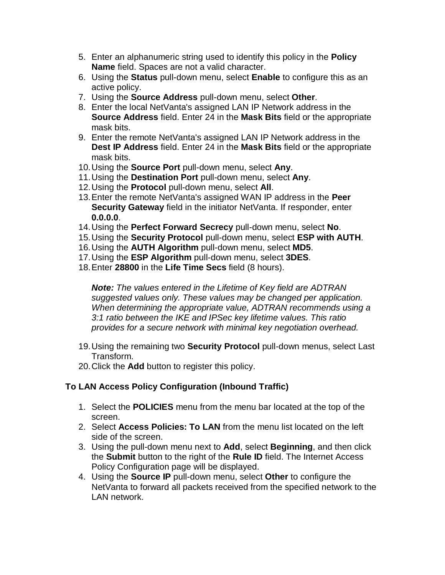- 5. Enter an alphanumeric string used to identify this policy in the **Policy Name** field. Spaces are not a valid character.
- 6. Using the **Status** pull-down menu, select **Enable** to configure this as an active policy.
- 7. Using the **Source Address** pull-down menu, select **Other**.
- 8. Enter the local NetVanta's assigned LAN IP Network address in the **Source Address** field. Enter 24 in the **Mask Bits** field or the appropriate mask bits.
- 9. Enter the remote NetVanta's assigned LAN IP Network address in the **Dest IP Address** field. Enter 24 in the **Mask Bits** field or the appropriate mask bits.
- 10.Using the **Source Port** pull-down menu, select **Any**.
- 11.Using the **Destination Port** pull-down menu, select **Any**.
- 12.Using the **Protocol** pull-down menu, select **All**.
- 13.Enter the remote NetVanta's assigned WAN IP address in the **Peer Security Gateway** field in the initiator NetVanta. If responder, enter **0.0.0.0**.
- 14.Using the **Perfect Forward Secrecy** pull-down menu, select **No**.
- 15.Using the **Security Protocol** pull-down menu, select **ESP with AUTH**.
- 16.Using the **AUTH Algorithm** pull-down menu, select **MD5**.
- 17.Using the **ESP Algorithm** pull-down menu, select **3DES**.
- 18.Enter **28800** in the **Life Time Secs** field (8 hours).

*Note: The values entered in the Lifetime of Key field are ADTRAN suggested values only. These values may be changed per application. When determining the appropriate value, ADTRAN recommends using a 3:1 ratio between the IKE and IPSec key lifetime values. This ratio provides for a secure network with minimal key negotiation overhead.*

- 19.Using the remaining two **Security Protocol** pull-down menus, select Last Transform.
- 20.Click the **Add** button to register this policy.

## **To LAN Access Policy Configuration (Inbound Traffic)**

- 1. Select the **POLICIES** menu from the menu bar located at the top of the screen.
- 2. Select **Access Policies: To LAN** from the menu list located on the left side of the screen.
- 3. Using the pull-down menu next to **Add**, select **Beginning**, and then click the **Submit** button to the right of the **Rule ID** field. The Internet Access Policy Configuration page will be displayed.
- 4. Using the **Source IP** pull-down menu, select **Other** to configure the NetVanta to forward all packets received from the specified network to the LAN network.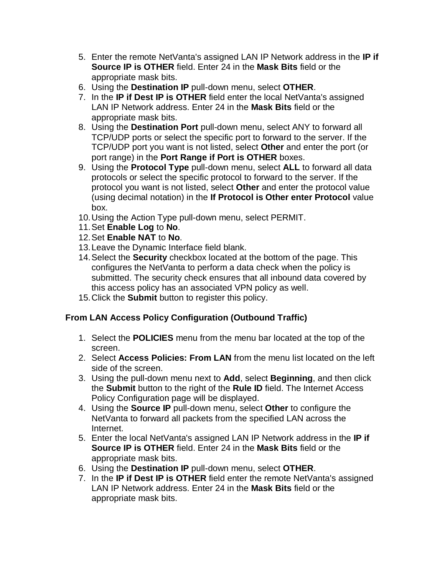- 5. Enter the remote NetVanta's assigned LAN IP Network address in the **IP if Source IP is OTHER** field. Enter 24 in the **Mask Bits** field or the appropriate mask bits.
- 6. Using the **Destination IP** pull-down menu, select **OTHER**.
- 7. In the **IP if Dest IP is OTHER** field enter the local NetVanta's assigned LAN IP Network address. Enter 24 in the **Mask Bits** field or the appropriate mask bits.
- 8. Using the **Destination Port** pull-down menu, select ANY to forward all TCP/UDP ports or select the specific port to forward to the server. If the TCP/UDP port you want is not listed, select **Other** and enter the port (or port range) in the **Port Range if Port is OTHER** boxes.
- 9. Using the **Protocol Type** pull-down menu, select **ALL** to forward all data protocols or select the specific protocol to forward to the server. If the protocol you want is not listed, select **Other** and enter the protocol value (using decimal notation) in the **If Protocol is Other enter Protocol** value box.
- 10.Using the Action Type pull-down menu, select PERMIT.
- 11.Set **Enable Log** to **No**.
- 12.Set **Enable NAT** to **No**.
- 13.Leave the Dynamic Interface field blank.
- 14.Select the **Security** checkbox located at the bottom of the page. This configures the NetVanta to perform a data check when the policy is submitted. The security check ensures that all inbound data covered by this access policy has an associated VPN policy as well.
- 15.Click the **Submit** button to register this policy.

## **From LAN Access Policy Configuration (Outbound Traffic)**

- 1. Select the **POLICIES** menu from the menu bar located at the top of the screen.
- 2. Select **Access Policies: From LAN** from the menu list located on the left side of the screen.
- 3. Using the pull-down menu next to **Add**, select **Beginning**, and then click the **Submit** button to the right of the **Rule ID** field. The Internet Access Policy Configuration page will be displayed.
- 4. Using the **Source IP** pull-down menu, select **Other** to configure the NetVanta to forward all packets from the specified LAN across the Internet.
- 5. Enter the local NetVanta's assigned LAN IP Network address in the **IP if Source IP is OTHER** field. Enter 24 in the **Mask Bits** field or the appropriate mask bits.
- 6. Using the **Destination IP** pull-down menu, select **OTHER**.
- 7. In the **IP if Dest IP is OTHER** field enter the remote NetVanta's assigned LAN IP Network address. Enter 24 in the **Mask Bits** field or the appropriate mask bits.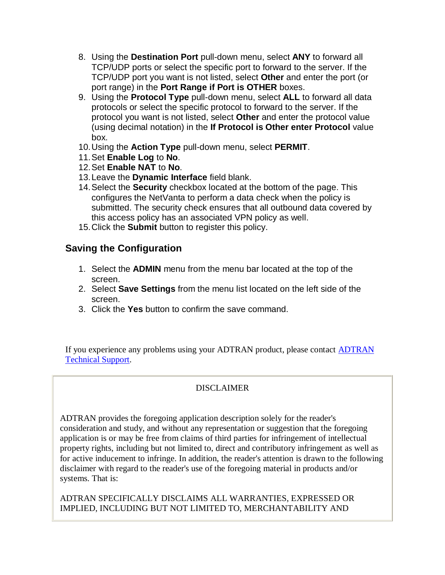- 8. Using the **Destination Port** pull-down menu, select **ANY** to forward all TCP/UDP ports or select the specific port to forward to the server. If the TCP/UDP port you want is not listed, select **Other** and enter the port (or port range) in the **Port Range if Port is OTHER** boxes.
- 9. Using the **Protocol Type** pull-down menu, select **ALL** to forward all data protocols or select the specific protocol to forward to the server. If the protocol you want is not listed, select **Other** and enter the protocol value (using decimal notation) in the **If Protocol is Other enter Protocol** value box.
- 10.Using the **Action Type** pull-down menu, select **PERMIT**.
- 11.Set **Enable Log** to **No**.
- 12.Set **Enable NAT** to **No**.
- 13.Leave the **Dynamic Interface** field blank.
- 14.Select the **Security** checkbox located at the bottom of the page. This configures the NetVanta to perform a data check when the policy is submitted. The security check ensures that all outbound data covered by this access policy has an associated VPN policy as well.
- 15.Click the **Submit** button to register this policy.

# **Saving the Configuration**

- 1. Select the **ADMIN** menu from the menu bar located at the top of the screen.
- 2. Select **Save Settings** from the menu list located on the left side of the screen.
- 3. Click the **Yes** button to confirm the save command.

If you experience any problems using your ADTRAN product, please contact ADTRAN Technical Support.

## DISCLAIMER

ADTRAN provides the foregoing application description solely for the reader's consideration and study, and without any representation or suggestion that the foregoing application is or may be free from claims of third parties for infringement of intellectual property rights, including but not limited to, direct and contributory infringement as well as for active inducement to infringe. In addition, the reader's attention is drawn to the following disclaimer with regard to the reader's use of the foregoing material in products and/or systems. That is:

ADTRAN SPECIFICALLY DISCLAIMS ALL WARRANTIES, EXPRESSED OR IMPLIED, INCLUDING BUT NOT LIMITED TO, MERCHANTABILITY AND